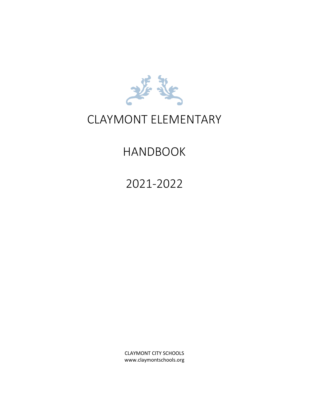

## CLAYMONT ELEMENTARY

## HANDBOOK

2021-2022

CLAYMONT CITY SCHOOLS www.claymontschools.org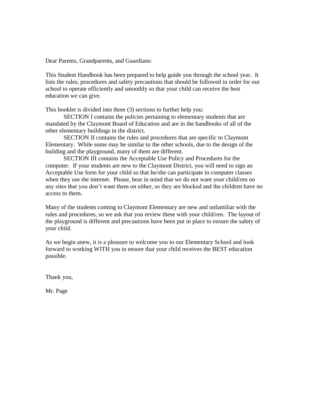Dear Parents, Grandparents, and Guardians:

This Student Handbook has been prepared to help guide you through the school year. It lists the rules, procedures and safety precautions that should be followed in order for our school to operate efficiently and smoothly so that your child can receive the best education we can give.

This booklet is divided into three (3) sections to further help you:

SECTION I contains the policies pertaining to elementary students that are mandated by the Claymont Board of Education and are in the handbooks of all of the other elementary buildings in the district.

SECTION II contains the rules and procedures that are specific to Claymont Elementary. While some may be similar to the other schools, due to the design of the building and the playground, many of them are different.

SECTION III contains the Acceptable Use Policy and Procedures for the computer. If your students are new to the Claymont District, you will need to sign an Acceptable Use form for your child so that he/she can participate in computer classes when they use the internet. Please, bear in mind that we do not want your child/ren on any sites that you don't want them on either, so they are blocked and the children have no access to them.

Many of the students coming to Claymont Elementary are new and unfamiliar with the rules and procedures, so we ask that you review these with your child/ren. The layout of the playground is different and precautions have been put in place to ensure the safety of your child.

As we begin anew, it is a pleasure to welcome you to our Elementary School and look forward to working WITH you to ensure that your child receives the BEST education possible.

Thank you,

Mr. Page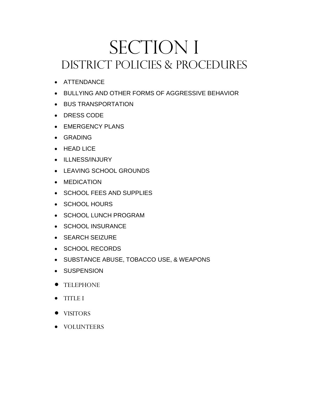## SECTION I DISTRICT POLICIES & PROCEDURES

- ATTENDANCE
- BULLYING AND OTHER FORMS OF AGGRESSIVE BEHAVIOR
- BUS TRANSPORTATION
- DRESS CODE
- EMERGENCY PLANS
- GRADING
- HEAD LICE
- ILLNESS/INJURY
- LEAVING SCHOOL GROUNDS
- MEDICATION
- SCHOOL FEES AND SUPPLIES
- SCHOOL HOURS
- SCHOOL LUNCH PROGRAM
- SCHOOL INSURANCE
- SEARCH SEIZURE
- SCHOOL RECORDS
- SUBSTANCE ABUSE, TOBACCO USE, & WEAPONS
- SUSPENSION
- TELEPHONE
- TITLE I
- VISITORS
- VOLUNTEERS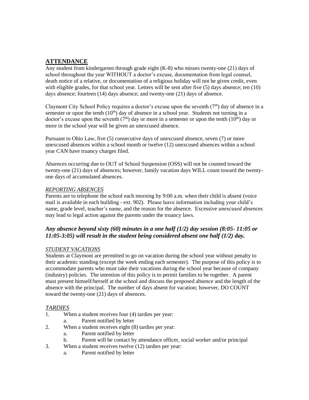#### **ATTENDANCE**

Any student from kindergarten through grade eight (K-8) who misses twenty-one (21) days of school throughout the year WITHOUT a doctor's excuse, documentation from legal counsel, death notice of a relative, or documentation of a religious holiday will not be given credit, even with eligible grades, for that school year. Letters will be sent after five (5) days absence; ten (10) days absence; fourteen (14) days absence; and twenty-one (21) days of absence.

Claymont City School Policy requires a doctor's excuse upon the seventh  $(7<sup>th</sup>)$  day of absence in a semester or upon the tenth  $(10<sup>th</sup>)$  day of absence in a school year. Students not turning in a doctor's excuse upon the seventh  $(7<sup>th</sup>)$  day or more in a semester or upon the tenth  $(10<sup>th</sup>)$  day or more in the school year will be given an unexcused absence.

Pursuant to Ohio Law, five (5) consecutive days of unexcused absence, seven (7) or more unexcused absences within a school month or twelve (12) unexcused absences within a school year CAN have truancy charges filed.

Absences occurring due to OUT of School Suspension (OSS) will not be counted toward the twenty-one (21) days of absences; however, family vacation days WILL count toward the twentyone days of accumulated absences.

#### *REPORTING ABSENCES*

Parents are to telephone the school each morning by 9:00 a.m. when their child is absent (voice mail is available in each building - ext. 902). Please leave information including your child's name, grade level, teacher's name, and the reason for the absence. Excessive *unexcused* absences may lead to legal action against the parents under the truancy laws.

#### *Any absence beyond sixty (60) minutes in a one half (1/2) day session (8:05- 11:05 or 11:05-3:05) will result in the student being considered absent one half (1/2) day.*

#### *STUDENT VACATIONS*

Students at Claymont are permitted to go on vacation during the school year without penalty to their academic standing (except the week ending each semester). The purpose of this policy is to accommodate parents who must take their vacations during the school year because of company (industry) policies. The intention of this policy is to permit families to be together. A parent must present himself/herself at the school and discuss the proposed absence and the length of the absence with the principal. The number of days absent for vacation; however, DO COUNT toward the twenty-one (21) days of absences.

#### *TARDIES*

- 1. When a student receives four (4) tardies per year:
	- Parent notified by letter
- 2. When a student receives eight (8) tardies per year:
	- a. Parent notified by letter
	- b. Parent will be contact by attendance officer, social worker and/or principal
- 3. When a student receives twelve (12) tardies per year:
	- a. Parent notified by letter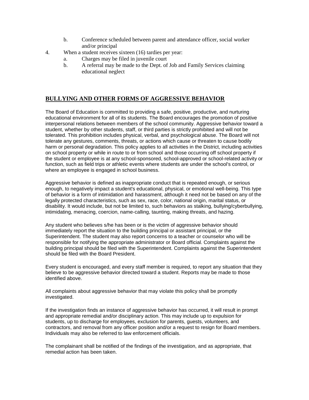- b. Conference scheduled between parent and attendance officer, social worker and/or principal
- 4. When a student receives sixteen (16) tardies per year:
	- a. Charges may be filed in juvenile court
	- b. A referral may be made to the Dept. of Job and Family Services claiming educational neglect

#### **BULLYING AND OTHER FORMS OF AGGRESSIVE BEHAVIOR**

The Board of Education is committed to providing a safe, positive, productive, and nurturing educational environment for all of its students. The Board encourages the promotion of positive interpersonal relations between members of the school community. Aggressive behavior toward a student, whether by other students, staff, or third parties is strictly prohibited and will not be tolerated. This prohibition includes physical, verbal, and psychological abuse. The Board will not tolerate any gestures, comments, threats, or actions which cause or threaten to cause bodily harm or personal degradation. This policy applies to all activities in the District, including activities on school property or while in route to or from school and those occurring off school property if the student or employee is at any school-sponsored, school-approved or school-related activity or function, such as field trips or athletic events where students are under the school's control, or where an employee is engaged in school business.

Aggressive behavior is defined as inappropriate conduct that is repeated enough, or serious enough, to negatively impact a student's educational, physical, or emotional well-being. This type of behavior is a form of intimidation and harassment, although it need not be based on any of the legally protected characteristics, such as sex, race, color, national origin, marital status, or disability. It would include, but not be limited to, such behaviors as stalking, bullying/cyberbullying, intimidating, menacing, coercion, name-calling, taunting, making threats, and hazing.

Any student who believes s/he has been or is the victim of aggressive behavior should immediately report the situation to the building principal or assistant principal, or the Superintendent. The student may also report concerns to a teacher or counselor who will be responsible for notifying the appropriate administrator or Board official. Complaints against the building principal should be filed with the Superintendent. Complaints against the Superintendent should be filed with the Board President.

Every student is encouraged, and every staff member is required, to report any situation that they believe to be aggressive behavior directed toward a student. Reports may be made to those identified above.

All complaints about aggressive behavior that may violate this policy shall be promptly investigated.

If the investigation finds an instance of aggressive behavior has occurred, it will result in prompt and appropriate remedial and/or disciplinary action. This may include up to expulsion for students, up to discharge for employees, exclusion for parents, guests, volunteers, and contractors, and removal from any officer position and/or a request to resign for Board members. Individuals may also be referred to law enforcement officials.

The complainant shall be notified of the findings of the investigation, and as appropriate, that remedial action has been taken.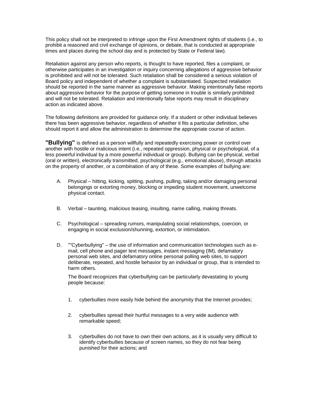This policy shall not be interpreted to infringe upon the First Amendment rights of students (i.e., to prohibit a reasoned and civil exchange of opinions, or debate, that is conducted at appropriate times and places during the school day and is protected by State or Federal law).

Retaliation against any person who reports, is thought to have reported, files a complaint, or otherwise participates in an investigation or inquiry concerning allegations of aggressive behavior is prohibited and will not be tolerated. Such retaliation shall be considered a serious violation of Board policy and independent of whether a complaint is substantiated. Suspected retaliation should be reported in the same manner as aggressive behavior. Making intentionally false reports about aggressive behavior for the purpose of getting someone in trouble is similarly prohibited and will not be tolerated. Retaliation and intentionally false reports may result in disciplinary action as indicated above.

The following definitions are provided for guidance only. If a student or other individual believes there has been aggressive behavior, regardless of whether it fits a particular definition, s/he should report it and allow the administration to determine the appropriate course of action.

**"Bullying"** is defined as a person willfully and repeatedly exercising power or control over another with hostile or malicious intent (i.e., repeated oppression, physical or psychological, of a less powerful individual by a more powerful individual or group). Bullying can be physical, verbal (oral or written), electronically transmitted, psychological (e.g., emotional abuse), through attacks on the property of another, or a combination of any of these. Some examples of bullying are:

- A. Physical hitting, kicking, spitting, pushing, pulling, taking and/or damaging personal belongings or extorting money, blocking or impeding student movement, unwelcome physical contact.
- B. Verbal taunting, malicious teasing, insulting, name calling, making threats.
- C. Psychological spreading rumors, manipulating social relationships, coercion, or engaging in social exclusion/shunning, extortion, or intimidation.
- D. ""Cyberbullying" the use of information and communication technologies such as email, cell phone and pager text messages, instant messaging (IM), defamatory personal web sites, and defamatory online personal polling web sites, to support deliberate, repeated, and hostile behavior by an individual or group, that is intended to harm others.

The Board recognizes that cyberbullying can be particularly devastating to young people because:

- 1. cyberbullies more easily hide behind the anonymity that the Internet provides;
- 2. cyberbullies spread their hurtful messages to a very wide audience with remarkable speed;
- 3. cyberbullies do not have to own their own actions, as it is usually very difficult to identify cyberbullies because of screen names, so they do not fear being punished for their actions; and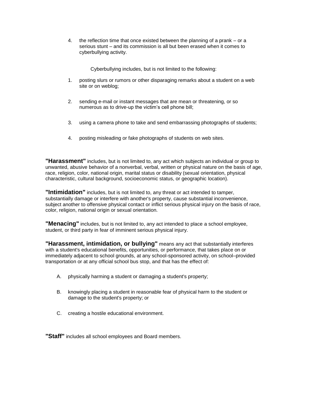4. the reflection time that once existed between the planning of a prank – or a serious stunt – and its commission is all but been erased when it comes to cyberbullying activity.

Cyberbullying includes, but is not limited to the following:

- 1. posting slurs or rumors or other disparaging remarks about a student on a web site or on weblog;
- 2. sending e-mail or instant messages that are mean or threatening, or so numerous as to drive-up the victim's cell phone bill;
- 3. using a camera phone to take and send embarrassing photographs of students;
- 4. posting misleading or fake photographs of students on web sites.

**"Harassment"** includes, but is not limited to, any act which subjects an individual or group to unwanted, abusive behavior of a nonverbal, verbal, written or physical nature on the basis of age, race, religion, color, national origin, marital status or disability (sexual orientation, physical characteristic, cultural background, socioeconomic status, or geographic location).

**"Intimidation"** includes, but is not limited to, any threat or act intended to tamper, substantially damage or interfere with another's property, cause substantial inconvenience, subject another to offensive physical contact or inflict serious physical injury on the basis of race, color, religion, national origin or sexual orientation.

**"Menacing"** includes, but is not limited to, any act intended to place a school employee, student, or third party in fear of imminent serious physical injury.

**"Harassment, intimidation, or bullying"** means any act that substantially interferes with a student's educational benefits, opportunities, or performance, that takes place on or immediately adjacent to school grounds, at any school-sponsored activity, on school–provided transportation or at any official school bus stop, and that has the effect of:

- A. physically harming a student or damaging a student's property;
- B. knowingly placing a student in reasonable fear of physical harm to the student or damage to the student's property; or
- C. creating a hostile educational environment.

**"Staff"** includes all school employees and Board members.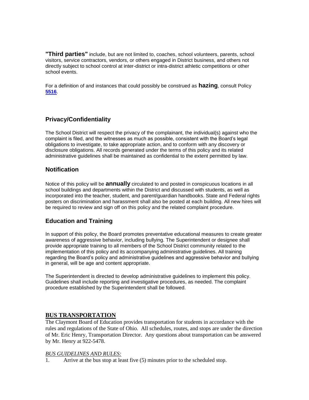**"Third parties"** include, but are not limited to, coaches, school volunteers, parents, school visitors, service contractors, vendors, or others engaged in District business, and others not directly subject to school control at inter-district or intra-district athletic competitions or other school events.

For a definition of and instances that could possibly be construed as **hazing**, consult Policy **[5516](http://www.neola.com/mcsdpol-oh/search/policies/po5516.htm)**.

#### **Privacy/Confidentiality**

The School District will respect the privacy of the complainant, the individual(s) against who the complaint is filed, and the witnesses as much as possible, consistent with the Board's legal obligations to investigate, to take appropriate action, and to conform with any discovery or disclosure obligations. All records generated under the terms of this policy and its related administrative guidelines shall be maintained as confidential to the extent permitted by law.

#### **Notification**

Notice of this policy will be **annually** circulated to and posted in conspicuous locations in all school buildings and departments within the District and discussed with students, as well as incorporated into the teacher, student, and parent/guardian handbooks. State and Federal rights posters on discrimination and harassment shall also be posted at each building. All new hires will be required to review and sign off on this policy and the related complaint procedure.

#### **Education and Training**

In support of this policy, the Board promotes preventative educational measures to create greater awareness of aggressive behavior, including bullying. The Superintendent or designee shall provide appropriate training to all members of the School District community related to the implementation of this policy and its accompanying administrative guidelines. All training regarding the Board's policy and administrative guidelines and aggressive behavior and bullying in general, will be age and content appropriate.

The Superintendent is directed to develop administrative guidelines to implement this policy. Guidelines shall include reporting and investigative procedures, as needed. The complaint procedure established by the Superintendent shall be followed.

#### **BUS TRANSPORTATION**

The Claymont Board of Education provides transportation for students in accordance with the rules and regulations of the State of Ohio. All schedules, routes, and stops are under the direction of Mr. Eric Henry, Transportation Director. Any questions about transportation can be answered by Mr. Henry at 922-5478.

#### *BUS GUIDELINES AND RULES:*

1. Arrive at the bus stop at least five (5) minutes prior to the scheduled stop.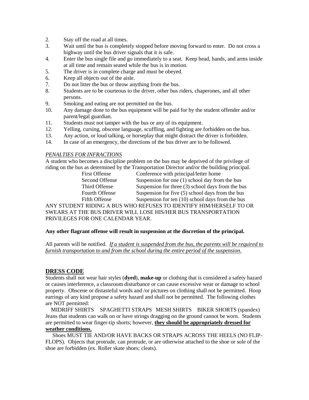- 2. Stay off the road at all times.
- 3. Wait until the bus is completely stopped before moving forward to enter. Do not cross a highway until the bus driver signals that it is safe.
- 4. Enter the bus single file and go immediately to a seat. Keep head, hands, and arms inside at all time and remain seated while the bus is in motion.
- 5. The driver is in complete charge and must be obeyed.
- 6. Keep all objects out of the aisle.
- 7. Do not litter the bus or throw anything from the bus.
- 8. Students are to be courteous to the driver, other bus riders, chaperones, and all other persons.
- 9. Smoking and eating are not permitted on the bus.
- 10. Any damage done to the bus equipment will be paid for by the student offender and/or parent/legal guardian.
- 11. Students must not tamper with the bus or any of its equipment.
- 12. Yelling, cursing, obscene language, scuffling, and fighting are forbidden on the bus.
- 13. Any action, or loud talking, or horseplay that might distract the driver is forbidden.
- 14. In case of an emergency, the directions of the bus driver are to be followed.

#### *PENALTIES FOR INFRACTIONS*

A student who becomes a discipline problem on the bus may be deprived of the privilege of riding on the bus as determined by the Transportation Director and/or the building principal.

| <b>First Offense</b> | Conference with principal/letter home               |  |
|----------------------|-----------------------------------------------------|--|
| Second Offense       | Suspension for one $(1)$ school day from the bus    |  |
| Third Offense        | Suspension for three $(3)$ school days from the bus |  |
| Fourth Offense       | Suspension for five (5) school days from the bus    |  |
| Fifth Offense        | Suspension for ten $(10)$ school days from the bus  |  |
|                      |                                                     |  |

ANY STUDENT RIDING A BUS WHO REFUSES TO IDENTIFY HIM/HERSELF TO OR SWEARS AT THE BUS DRIVER WILL LOSE HIS/HER BUS TRANSPORTATION PRIVILEGES FOR ONE CALENDAR YEAR.

#### **Any other flagrant offense will result in suspension at the discretion of the principal.**

All parents will be notified. *If a student is suspended from the bus, the parents will be required to furnish transportation to and from the school during the entire period of the suspension.* 

#### **DRESS CODE**

Students shall not wear hair styles (**dyed**), **make-up** or clothing that is considered a safety hazard or causes interference, a classroom disturbance or can cause excessive wear or damage to school property. Obscene or distasteful words and /or pictures on clothing shall not be permitted. Hoop earrings of any kind propose a safety hazard and shall not be permitted. The following clothes are NOT permitted:

 MIDRIFF SHIRTS SPAGHETTI STRAPS MESH SHIRTS BIKER SHORTS (spandex) Jeans that students can walk on or have strings dragging on the ground cannot be worn. Students are permitted to wear finger-tip shorts; however, **they should be appropriately dressed for weather conditions.** 

 Shoes MUST TIE AND/OR HAVE BACKS OR STRAPS ACROSS THE HEELS (NO FLIP-FLOPS)*.* Objects that protrude, can protrude, or are otherwise attached to the shoe or sole of the shoe are forbidden (ex. Roller skate shoes; cleats).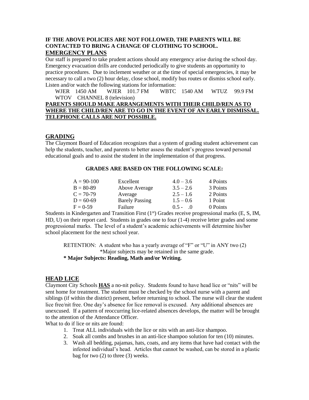#### **IF THE ABOVE POLICIES ARE NOT FOLLOWED, THE PARENTS WILL BE CONTACTED TO BRING A CHANGE OF CLOTHING TO SCHOOL. EMERGENCY PLANS**

Our staff is prepared to take prudent actions should any emergency arise during the school day. Emergency evacuation drills are conducted periodically to give students an opportunity to practice procedures. Due to inclement weather or at the time of special emergencies, it may be necessary to call a two (2) hour delay, close school, modify bus routes or dismiss school early. Listen and/or watch the following stations for information:

 WJER 1450 AM WJER 101.7 FM WBTC 1540 AM WTUZ 99.9 FM WTOV CHANNEL 8 (television)

#### **PARENTS SHOULD MAKE ARRANGEMENTS WITH THEIR CHILD/REN AS TO WHERE THE CHILD/REN ARE TO GO IN THE EVENT OF AN EARLY DISMISSAL. TELEPHONE CALLS ARE NOT POSSIBLE.**

#### **GRADING**

The Claymont Board of Education recognizes that a system of grading student achievement can help the students, teacher, and parents to better assess the student's progress toward personal educational goals and to assist the student in the implementation of that progress.

#### **GRADES ARE BASED ON THE FOLLOWING SCALE:**

| $A = 90-100$ | Excellent             | $4.0 - 3.6$                 | 4 Points |
|--------------|-----------------------|-----------------------------|----------|
| $B = 80-89$  | Above Average         | $3.5 - 2.6$                 | 3 Points |
| $C = 70-79$  | Average               | $2.5 - 1.6$                 | 2 Points |
| $D = 60-69$  | <b>Barely Passing</b> | $1.5 - 0.6$                 | 1 Point  |
| $F = 0.59$   | Failure               | $0.5 -$<br>$\left( \right)$ | 0 Points |

Students in Kindergarten and Transition First (1<sup>st</sup>) Grades receive progressional marks (E, S, IM, HD, U) on their report card. Students in grades one to four (1-4) receive letter grades and some progressional marks. The level of a student's academic achievements will determine his/her school placement for the next school year.

RETENTION: A student who has a yearly average of "F" or "U" in ANY two (2) \*Major subjects may be retained in the same grade.

**\* Major Subjects: Reading, Math and/or Writing.**

#### **HEAD LICE**

Claymont City Schools **HAS** a no-nit policy. Students found to have head lice or "nits" will be sent home for treatment. The student must be checked by the school nurse with a parent and siblings (if within the district) present, before returning to school. The nurse will clear the student lice free/nit free. One day's absence for lice removal is excused. Any additional absences are unexcused. If a pattern of reoccurring lice-related absences develops, the matter will be brought to the attention of the Attendance Officer.

What to do if lice or nits are found:

- 1. Treat ALL individuals with the lice or nits with an anti-lice shampoo.
- 2. Soak all combs and brushes in an anti-lice shampoo solution for ten (10) minutes.
- 3. Wash all bedding, pajamas, hats, coats, and any items that have had contact with the infested individual's head. Articles that cannot be washed, can be stored in a plastic bag for two (2) to three (3) weeks.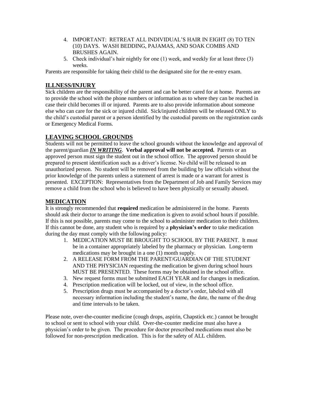- 4. IMPORTANT: RETREAT ALL INDIVIDUAL'S HAIR IN EIGHT (8) TO TEN (10) DAYS. WASH BEDDING, PAJAMAS, AND SOAK COMBS AND BRUSHES AGAIN.
- 5. Check individual's hair nightly for one (1) week, and weekly for at least three (3) weeks.

Parents are responsible for taking their child to the designated site for the re-entry exam.

#### **ILLNESS/INJURY**

Sick children are the responsibility of the parent and can be better cared for at home. Parents are to provide the school with the phone numbers or information as to where they can be reached in case their child becomes ill or injured. Parents are to also provide information about someone else who can care for the sick or injured child. Sick/injured children will be released ONLY to the child's custodial parent or a person identified by the custodial parents on the registration cards or Emergency Medical Forms.

#### **LEAVING SCHOOL GROUNDS**

Students will not be permitted to leave the school grounds without the knowledge and approval of the parent/guardian *IN WRITING*. **Verbal approval will not be accepted.** Parents or an approved person must sign the student out in the school office. The approved person should be prepared to present identification such as a driver's license. No child will be released to an unauthorized person. No student will be removed from the building by law officials without the prior knowledge of the parents unless a statement of arrest is made or a warrant for arrest is presented. EXCEPTION: Representatives from the Department of Job and Family Services may remove a child from the school who is believed to have been physically or sexually abused.

#### **MEDICATION**

It is strongly recommended that **required** medication be administered in the home. Parents should ask their doctor to arrange the time medication is given to avoid school hours if possible. If this is not possible, parents may come to the school to administer medication to their children. If this cannot be done, any student who is required by a **physician's order** to take medication during the day must comply with the following policy:

- 1. MEDICATION MUST BE BROUGHT TO SCHOOL BY THE PARENT. It must be in a container appropriately labeled by the pharmacy or physician. Long-term medications may be brought in a one (1) month supply.
- 2. A RELEASE FORM FROM THE PARENT/GUARDIAN OF THE STUDENT AND THE PHYSICIAN requesting the medication be given during school hours MUST BE PRESENTED. These forms may be obtained in the school office.
- 3. New request forms must be submitted EACH YEAR and for changes in medication.
- 4. Prescription medication will be locked, out of view, in the school office.
- 5. Prescription drugs must be accompanied by a doctor's order, labeled with all necessary information including the student's name, the date, the name of the drug and time intervals to be taken.

Please note, over-the-counter medicine (cough drops, aspirin, Chapstick etc.) cannot be brought to school or sent to school with your child. Over-the-counter medicine must also have a physician's order to be given. The procedure for doctor prescribed medications must also be followed for non-prescription medication. This is for the safety of ALL children.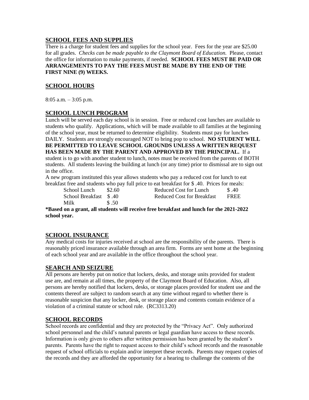#### **SCHOOL FEES AND SUPPLIES**

There is a charge for student fees and supplies for the school year. Fees for the year are \$25.00 for all grades. *Checks can be made payable to the Claymont Board of Education.* Please, contact the office for information to make payments, if needed. **SCHOOL FEES MUST BE PAID OR ARRANGEMENTS TO PAY THE FEES MUST BE MADE BY THE END OF THE FIRST NINE (9) WEEKS.**

#### **SCHOOL HOURS**

8:05 a.m. – 3:05 p.m.

#### **SCHOOL LUNCH PROGRAM**

Lunch will be served each day school is in session. Free or reduced cost lunches are available to students who qualify. Applications, which will be made available to all families at the beginning of the school year, must be returned to determine eligibility. Students must pay for lunches DAILY. Students are strongly encouraged NOT to bring pop to school. **NO STUDENT WILL BE PERMITTED TO LEAVE SCHOOL GROUNDS UNLESS A WRITTEN REQUEST HAS BEEN MADE BY THE PARENT AND APPROVED BY THE PRINCIPAL.** If a student is to go with another student to lunch, notes must be received from the parents of BOTH students. All students leaving the building at lunch (or any time) prior to dismissal are to sign out in the office.

A new program instituted this year allows students who pay a reduced cost for lunch to eat breakfast free and students who pay full price to eat breakfast for \$ .40. Prices for meals:

Milk  $$.50$ 

School Lunch  $$2.60$  Reduced Cost for Lunch  $$3.40$ School Breakfast \$ .40 Reduced Cost for Breakfast FREE

**\*Based on a grant, all students will receive free breakfast and lunch for the 2021-2022 school year.**

#### **SCHOOL INSURANCE**

Any medical costs for injuries received at school are the responsibility of the parents. There is reasonably priced insurance available through an area firm. Forms are sent home at the beginning of each school year and are available in the office throughout the school year.

#### **SEARCH AND SEIZURE**

All persons are hereby put on notice that lockers, desks, and storage units provided for student use are, and remain at all times, the property of the Claymont Board of Education. Also, all persons are hereby notified that lockers, desks, or storage places provided for student use and the contents thereof are subject to random search at any time without regard to whether there is reasonable suspicion that any locker, desk, or storage place and contents contain evidence of a violation of a criminal statute or school rule. (RC3313.20)

#### **SCHOOL RECORDS**

School records are confidential and they are protected by the "Privacy Act". Only authorized school personnel and the child's natural parents or legal guardian have access to these records. Information is only given to others after written permission has been granted by the student's parents. Parents have the right to request access to their child's school records and the reasonable request of school officials to explain and/or interpret these records. Parents may request copies of the records and they are afforded the opportunity for a hearing to challenge the contents of the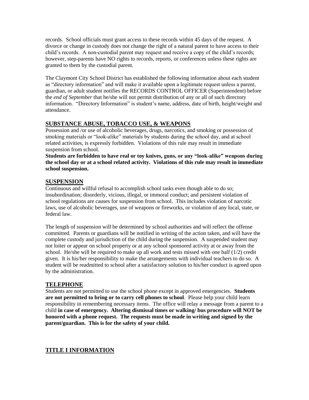records. School officials must grant access to these records within 45 days of the request. A divorce or change in custody does not change the right of a natural parent to have access to their child's records. A non-custodial parent may request and receive a copy of the child's records; however, step-parents have NO rights to records, reports, or conferences unless these rights are granted to them by the custodial parent.

The Claymont City School District has established the following information about each student as "directory information" and will make it available upon a legitimate request unless a parent, guardian, or adult student notifies the RECORDS CONTROL OFFICER (Superintendent) before the *end of September* that he/she will not permit distribution of any or all of such directory information. "Directory Information" is student's name, address, date of birth, height/weight and attendance.

#### **SUBSTANCE ABUSE, TOBACCO USE, & WEAPONS**

Possession and /or use of alcoholic beverages, drugs, narcotics, and smoking or possession of smoking materials or "look-alike" materials by students during the school day, and at school related activities, is expressly forbidden. Violations of this rule may result in immediate suspension from school.

**Students are forbidden to have real or toy knives, guns, or any "look-alike" weapons during the school day or at a school related activity. Violations of this rule may result in immediate school suspension.**

#### **SUSPENSION**

Continuous and willful refusal to accomplish school tasks even though able to do so; insubordination; disorderly, vicious, illegal, or immoral conduct; and persistent violation of school regulations are causes for suspension from school. This includes violation of narcotic laws, use of alcoholic beverages, use of weapons or fireworks, or violation of any local, state, or federal law.

The length of suspension will be determined by school authorities and will reflect the offense committed. Parents or guardians will be notified in writing of the action taken, and will have the complete custody and jurisdiction of the child during the suspension. A suspended student may not loiter or appear on school property or at any school sponsored activity at or away from the school. He/she will be required to make up all work and tests missed with one half (1/2) credit given. It is his/her responsibility to make the arrangements with individual teachers to do so. A student will be readmitted to school after a satisfactory solution to his/her conduct is agreed upon by the administration.

#### **TELEPHONE**

Students are not permitted to use the school phone except in approved emergencies. **Students are not permitted to bring or to carry cell phones to school**. Please help your child learn responsibility in remembering necessary items. The office will relay a message from a parent to a child **in case of emergency. Altering dismissal times or walking/ bus procedure will NOT be honored with a phone request. The requests must be made in writing and signed by the parent/guardian. This is for the safety of your child.**

#### **TITLE I INFORMATION**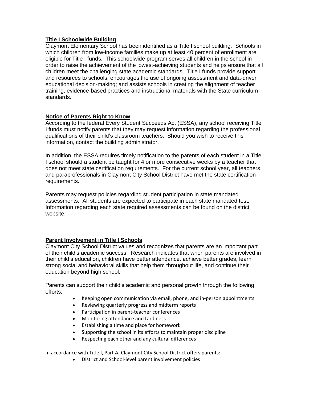#### **Title I Schoolwide Building**

Claymont Elementary School has been identified as a Title I school building. Schools in which children from low-income families make up at least 40 percent of enrollment are eligible for Title I funds. This schoolwide program serves all children in the school in order to raise the achievement of the lowest-achieving students and helps ensure that all children meet the challenging state academic standards. Title I funds provide support and resources to schools; encourages the use of ongoing assessment and data-driven educational decision-making; and assists schools in creating the alignment of teacher training, evidence-based practices and instructional materials with the State curriculum standards.

#### **Notice of Parents Right to Know**

According to the federal Every Student Succeeds Act (ESSA), any school receiving Title I funds must notify parents that they may request information regarding the professional qualifications of their child's classroom teachers. Should you wish to receive this information, contact the building administrator.

In addition, the ESSA requires timely notification to the parents of each student in a Title I school should a student be taught for 4 or more consecutive weeks by a teacher that does not meet state certification requirements. For the current school year, all teachers and paraprofessionals in Claymont City School District have met the state certification requirements.

Parents may request policies regarding student participation in state mandated assessments. All students are expected to participate in each state mandated test. Information regarding each state required assessments can be found on the district website.

#### **Parent Involvement in Title I Schools**

Claymont City School District values and recognizes that parents are an important part of their child's academic success. Research indicates that when parents are involved in their child's education, children have better attendance, achieve better grades, learn strong social and behavioral skills that help them throughout life, and continue their education beyond high school.

Parents can support their child's academic and personal growth through the following efforts:

- Keeping open communication via email, phone, and in-person appointments
- Reviewing quarterly progress and midterm reports
- Participation in parent-teacher conferences
- Monitoring attendance and tardiness
- Establishing a time and place for homework
- Supporting the school in its efforts to maintain proper discipline
- Respecting each other and any cultural differences

In accordance with Title I, Part A, Claymont City School District offers parents:

• District and School-level parent involvement policies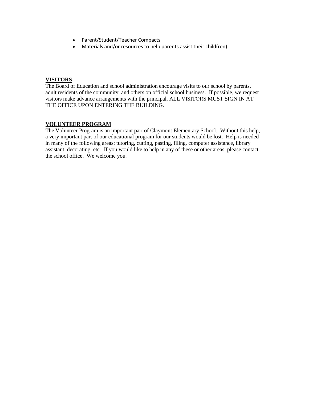- Parent/Student/Teacher Compacts
- Materials and/or resources to help parents assist their child(ren)

#### **VISITORS**

The Board of Education and school administration encourage visits to our school by parents, adult residents of the community, and others on official school business. If possible, we request visitors make advance arrangements with the principal. ALL VISITORS MUST SIGN IN AT THE OFFICE UPON ENTERING THE BUILDING.

#### **VOLUNTEER PROGRAM**

The Volunteer Program is an important part of Claymont Elementary School. Without this help, a very important part of our educational program for our students would be lost. Help is needed in many of the following areas: tutoring, cutting, pasting, filing, computer assistance, library assistant, decorating, etc. If you would like to help in any of these or other areas, please contact the school office. We welcome you.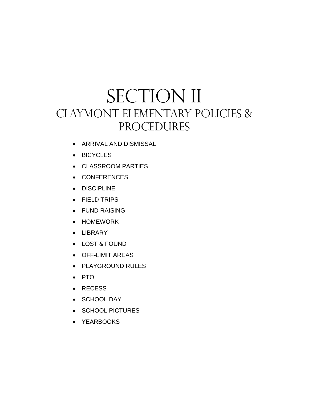## SECTION II CLAYMONT ELEMENTARY POLICIES & PROCEDURES

- ARRIVAL AND DISMISSAL
- BICYCLES
- CLASSROOM PARTIES
- CONFERENCES
- DISCIPLINE
- FIELD TRIPS
- FUND RAISING
- HOMEWORK
- LIBRARY
- LOST & FOUND
- OFF-LIMIT AREAS
- PLAYGROUND RULES
- PTO
- RECESS
- SCHOOL DAY
- SCHOOL PICTURES
- YEARBOOKS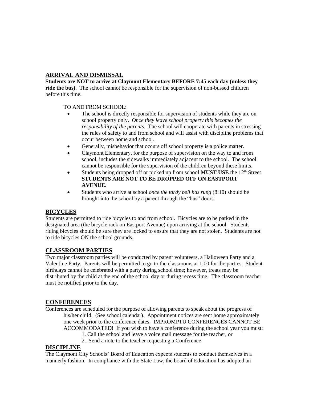#### **ARRIVAL AND DISMISSAL**

**Students are NOT to arrive at Claymont Elementary BEFORE 7:45 each day (unless they ride the bus).** The school cannot be responsible for the supervision of non-bussed children before this time.

TO AND FROM SCHOOL:

- The school is directly responsible for supervision of students while they are on school property only. *Once they leave school property this becomes the responsibility of the parents.* The school will cooperate with parents in stressing the rules of safety to and from school and will assist with discipline problems that occur between home and school.
- Generally, misbehavior that occurs off school property is a police matter.
- Claymont Elementary, for the purpose of supervision on the way to and from school, includes the sidewalks immediately adjacent to the school. The school cannot be responsible for the supervision of the children beyond these limits.
- Students being dropped off or picked up from school **MUST USE** the 12<sup>th</sup> Street. **STUDENTS ARE NOT TO BE DROPPED OFF ON EASTPORT AVENUE.**
- Students who arrive at school *once the tardy bell has rung* (8:10) should be brought into the school by a parent through the "bus" doors.

#### **BICYCLES**

Students are permitted to ride bicycles to and from school. Bicycles are to be parked in the designated area (the bicycle rack on Eastport Avenue) upon arriving at the school. Students riding bicycles should be sure they are locked to ensure that they are not stolen. Students are not to ride bicycles ON the school grounds.

#### **CLASSROOM PARTIES**

Two major classroom parties will be conducted by parent volunteers, a Halloween Party and a Valentine Party. Parents will be permitted to go to the classrooms at 1:00 for the parties. Student birthdays cannot be celebrated with a party during school time; however, treats may be distributed by the child at the end of the school day or during recess time. The classroom teacher must be notified prior to the day.

#### **CONFERENCES**

Conferences are scheduled for the purpose of allowing parents to speak about the progress of his/her child. (See school calendar). Appointment notices are sent home approximately one week prior to the conference dates. IMPROMPTU CONFERENCES CANNOT BE ACCOMMODATED! If you wish to have a conference during the school year you must:

- 1. Call the school and leave a voice mail message for the teacher, or
- 2. Send a note to the teacher requesting a Conference.

#### **DISCIPLINE**

The Claymont City Schools' Board of Education expects students to conduct themselves in a mannerly fashion. In compliance with the State Law, the board of Education has adopted an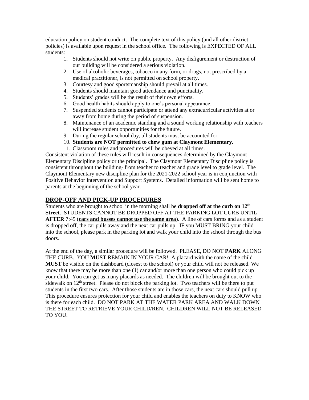education policy on student conduct. The complete text of this policy (and all other district policies) is available upon request in the school office. The following is EXPECTED OF ALL students:

- 1. Students should not write on public property. Any disfigurement or destruction of our building will be considered a serious violation.
- 2. Use of alcoholic beverages, tobacco in any form, or drugs, not prescribed by a medical practitioner, is not permitted on school property.
- 3. Courtesy and good sportsmanship should prevail at all times.
- 4. Students should maintain good attendance and punctuality.
- 5. Students' grades will be the result of their own efforts.
- 6. Good health habits should apply to one's personal appearance.
- 7. Suspended students cannot participate or attend any extracurricular activities at or away from home during the period of suspension.
- 8. Maintenance of an academic standing and a sound working relationship with teachers will increase student opportunities for the future.
- 9. During the regular school day, all students must be accounted for.
- 10. **Students are NOT permitted to chew gum at Claymont Elementary.**
- 11. Classroom rules and procedures will be obeyed at all times.

Consistent violation of these rules will result in consequences determined by the Claymont Elementary Discipline policy or the principal. The Claymont Elementary Discipline policy is consistent throughout the building- from teacher to teacher and grade level to grade level. The Claymont Elementary new discipline plan for the 2021-2022 school year is in conjunction with Positive Behavior Intervention and Support Systems. Detailed information will be sent home to parents at the beginning of the school year.

#### **DROP-OFF AND PICK-UP PROCEDURES**

Students who are brought to school in the morning shall be **dropped off at the curb on 12th Street**. STUDENTS CANNOT BE DROPPED OFF AT THE PARKING LOT CURB UNTIL **AFTER** 7:45 (**cars and busses cannot use the same area**). A line of cars forms and as a student is dropped off, the car pulls away and the next car pulls up. IF you MUST BRING your child into the school, please park in the parking lot and walk your child into the school through the bus doors.

At the end of the day, a similar procedure will be followed. PLEASE, DO NOT **PARK** ALONG THE CURB. YOU **MUST** REMAIN IN YOUR CAR! A placard with the name of the child **MUST** be visible on the dashboard (closest to the school) or your child will not be released. We know that there may be more than one (1) car and/or more than one person who could pick up your child. You can get as many placards as needed. The children will be brought out to the sidewalk on  $12<sup>th</sup>$  street. Please do not block the parking lot. Two teachers will be there to put students in the first two cars. After those students are in those cars, the next cars should pull up. This procedure ensures protection for your child and enables the teachers on duty to KNOW who is there for each child. DO NOT PARK AT THE WATER PARK AREA AND WALK DOWN THE STREET TO RETRIEVE YOUR CHILD/REN. CHILDREN WILL NOT BE RELEASED TO YOU.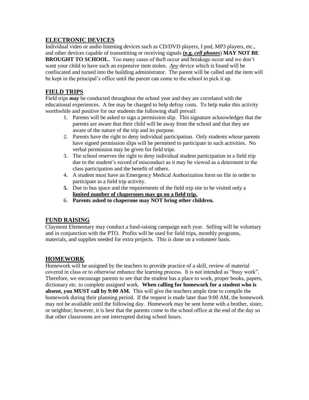#### **ELECTRONIC DEVICES**

Individual video or audio listening devices such as CD/DVD players, I pod, MP3 players, etc., and other devices capable of transmitting or receiving signals **(e.g.** *cell phones*) **MAY NOT BE BROUGHT TO SCHOOL.** Too many cases of theft occur and breakage occur and we don't want your child to have such an expensive item stolen. *Any* device which is found will be confiscated and turned into the building administrator. The parent will be called and the item will be kept in the principal's office until the parent can come to the school to pick it up.

### **FIELD TRIPS**

Field trips *may* be conducted throughout the school year and they are correlated with the educational experiences. A fee may be charged to help defray costs. To help make this activity worthwhile and positive for our students the following shall prevail:

- 1. Parents will be asked to sign a permission slip. This signature acknowledges that the parents are aware that their child will be away from the school and that they are aware of the nature of the trip and its purpose.
- 2. Parents have the right to deny individual participation. Only students whose parents have signed permission slips will be permitted to participate in such activities. No verbal permission may be given for field trips.
- 3. The school reserves the right to deny individual student participation in a field trip due to the student's record of misconduct as it may be viewed as a determent to the class participation and the benefit of others.
- 4. A student must have an Emergency Medical Authorization form on file in order to participate in a field trip activity.
- **5.** Due to bus space and the requirements of the field trip site to be visited only a **limited number of chaperones may go on a field trip.**
- 6. **Parents asked to chaperone may NOT bring other children.**

#### **FUND RAISING**

Claymont Elementary may conduct a fund-raising campaign each year. Selling will be voluntary and in conjunction with the PTO. Profits will be used for field trips, monthly programs, materials, and supplies needed for extra projects. This is done on a volunteer basis.

#### **HOMEWORK**

Homework will be assigned by the teachers to provide practice of a skill, review of material covered in class or to otherwise enhance the learning process. It is not intended as "busy work". Therefore, we encourage parents to see that the student has a place to work, proper books, papers, dictionary etc. to complete assigned work. **When calling for homework for a student who is absent, you MUST call by 9:00 AM.** This will give the teachers ample time to compile the homework during their planning period. If the request is made later than 9:00 AM, the homework may not be available until the following day. Homework may be sent home with a brother, sister, or neighbor; however, it is best that the parents come to the school office at the end of the day so that other classrooms are not interrupted during school hours.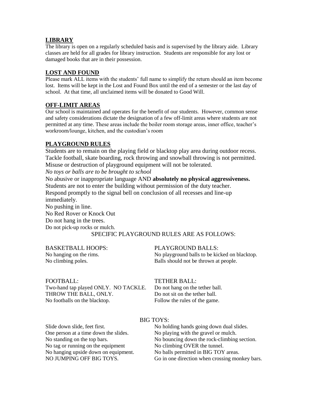#### **LIBRARY**

The library is open on a regularly scheduled basis and is supervised by the library aide. Library classes are held for all grades for library instruction. Students are responsible for any lost or damaged books that are in their possession.

#### **LOST AND FOUND**

Please mark ALL items with the students' full name to simplify the return should an item become lost. Items will be kept in the Lost and Found Box until the end of a semester or the last day of school. At that time, all unclaimed items will be donated to Good Will.

#### **OFF-LIMIT AREAS**

Our school is maintained and operates for the benefit of our students. However, common sense and safety considerations dictate the designation of a few off-limit areas where students are not permitted at any time. These areas include the boiler room storage areas, inner office, teacher's workroom/lounge, kitchen, and the custodian's room

#### **PLAYGROUND RULES**

Students are to remain on the playing field or blacktop play area during outdoor recess. Tackle football, skate boarding, rock throwing and snowball throwing is not permitted. Misuse or destruction of playground equipment will not be tolerated.

*No toys or balls are to be brought to school*

No abusive or inappropriate language AND **absolutely no physical aggressiveness.** Students are not to enter the building without permission of the duty teacher. Respond promptly to the signal bell on conclusion of all recesses and line-up immediately. No pushing in line.

No Red Rover or Knock Out Do not hang in the trees. Do not pick-up rocks or mulch.

#### SPECIFIC PLAYGROUND RULES ARE AS FOLLOWS:

#### BASKETBALL HOOPS: PLAYGROUND BALLS:

No hanging on the rims. No playground balls to be kicked on blacktop. No climbing poles. Balls should not be thrown at people.

Two-hand tap played ONLY. NO TACKLE. Do not hang on the tether ball. THROW THE BALL, ONLY. Do not sit on the tether ball. No footballs on the blacktop. Follow the rules of the game.

#### FOOTBALL: TETHER BALL:

#### BIG TOYS:

| No holding hands going down dual slides.       |
|------------------------------------------------|
| No playing with the gravel or mulch.           |
| No bouncing down the rock-climbing section.    |
| No climbing OVER the tunnel.                   |
| No balls permitted in BIG TOY areas.           |
| Go in one direction when crossing monkey bars. |
|                                                |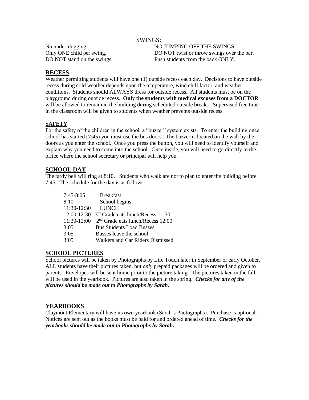#### SWINGS:

No under-dogging. NO JUMPING OFF THE SWINGS. Only ONE child per swing. DO NOT twist or throw swings over the bar. DO NOT stand on the swings. Push students from the back ONLY.

#### **RECESS**

Weather permitting students will have one (1) outside recess each day. Decisions to have outside recess during cold weather depends upon the temperature, wind chill factor, and weather conditions. Students should ALWAYS dress for outside recess. All students must be on the playground during outside recess. **Only the students with medical excuses from a DOCTOR** will be allowed to remain in the building during scheduled outside breaks. Supervised free time in the classroom will be given to students when weather prevents outside recess.

#### **SAFETY**

For the safety of the children in the school, a "buzzer" system exists. To enter the building once school has started (7:45) you must use the bus doors. The buzzer is located on the wall by the doors as you enter the school. Once you press the button, you will need to identify yourself and explain why you need to come into the school. Once inside, you will need to go directly to the office where the school secretary or principal will help you.

#### **SCHOOL DAY**

The tardy bell will ring at 8:10. Students who walk are not to plan to enter the building before 7:45. The schedule for the day is as follows:

| $7:45-8:05$   | <b>Breakfast</b>                              |
|---------------|-----------------------------------------------|
| 8:10          | School begins                                 |
| 11:30-12:30   | <b>LUNCH</b>                                  |
| $12:00-12:30$ | 3 <sup>rd</sup> Grade eats lunch/Recess 11:30 |
| $11:30-12:00$ | $2nd$ Grade eats lunch/Recess 12:00           |
| 3:05          | <b>Bus Students Load Busses</b>               |
| 3:05          | Busses leave the school                       |
| 3:05          | Walkers and Car Riders Dismissed              |

#### **SCHOOL PICTURES**

School pictures will be taken by Photographs by Life Touch later in September or early October. ALL students have their pictures taken, but *only* prepaid packages will be ordered and given to parents. Envelopes will be sent home prior to the picture taking. The pictures taken in the fall will be used in the yearbook. Pictures are also taken in the spring. *Checks for any of the pictures should be made out to Photographs by Sarah.*

#### **YEARBOOKS**

Claymont Elementary will have its own yearbook (Sarah's Photographs). Purchase is optional. Notices are sent out as the books must be paid for and ordered ahead of time. *Checks for the yearbooks should be made out to Photographs by Sarah.*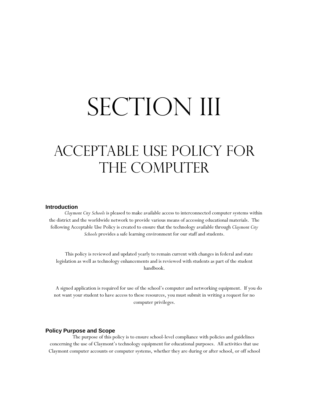# SECTION III

## ACCEPTABLE USE POLICY FOR THE COMPUTER

#### **Introduction**

*Claymont City Schools* is pleased to make available access to interconnected computer systems within the district and the worldwide network to provide various means of accessing educational materials. The following Acceptable Use Policy is created to ensure that the technology available through *Claymont City Schools* provides a safe learning environment for our staff and students.

This policy is reviewed and updated yearly to remain current with changes in federal and state legislation as well as technology enhancements and is reviewed with students as part of the student handbook.

A signed application is required for use of the school's computer and networking equipment. If you do not want your student to have access to these resources, you must submit in writing a request for no computer privileges.

#### **Policy Purpose and Scope**

The purpose of this policy is to ensure school-level compliance with policies and guidelines concerning the use of Claymont's technology equipment for educational purposes. All activities that use Claymont computer accounts or computer systems, whether they are during or after school, or off school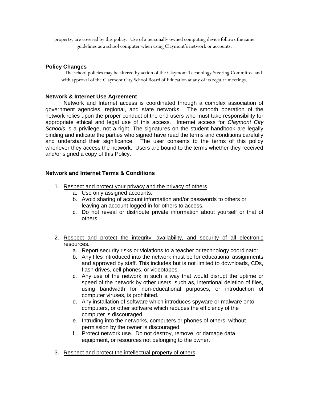property, are covered by this policy. Use of a personally owned computing device follows the same guidelines as a school computer when using Claymont's network or accounts.

#### **Policy Changes**

The school policies may be altered by action of the Claymont Technology Steering Committee and with approval of the Claymont City School Board of Education at any of its regular meetings.

#### **Network & Internet Use Agreement**

Network and Internet access is coordinated through a complex association of government agencies, regional, and state networks. The smooth operation of the network relies upon the proper conduct of the end users who must take responsibility for appropriate ethical and legal use of this access. Internet access for *Claymont City Schools* is a privilege, not a right. The signatures on the student handbook are legally binding and indicate the parties who signed have read the terms and conditions carefully and understand their significance. The user consents to the terms of this policy whenever they access the network. Users are bound to the terms whether they received and/or signed a copy of this Policy.

#### **Network and Internet Terms & Conditions**

- 1. Respect and protect your privacy and the privacy of others.
	- a. Use only assigned accounts.
	- b. Avoid sharing of account information and/or passwords to others or leaving an account logged in for others to access.
	- c. Do not reveal or distribute private information about yourself or that of others.
- 2. Respect and protect the integrity, availability, and security of all electronic resources.
	- a. Report security risks or violations to a teacher or technology coordinator.
	- b. Any files introduced into the network must be for educational assignments and approved by staff. This includes but is not limited to downloads, CDs, flash drives, cell phones, or videotapes.
	- c. Any use of the network in such a way that would disrupt the uptime or speed of the network by other users, such as, intentional deletion of files, using bandwidth for non-educational purposes, or introduction of computer viruses, is prohibited.
	- d. Any installation of software which introduces spyware or malware onto computers, or other software which reduces the efficiency of the computer is discouraged.
	- e. Intruding into the networks, computers or phones of others, without permission by the owner is discouraged.
	- f. Protect network use. Do not destroy, remove, or damage data, equipment, or resources not belonging to the owner.
- 3. Respect and protect the intellectual property of others.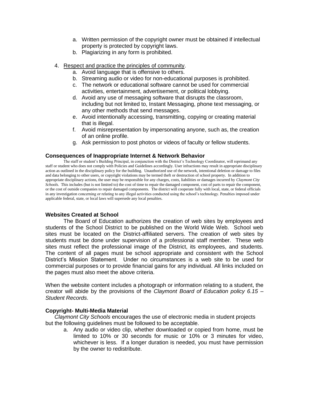- a. Written permission of the copyright owner must be obtained if intellectual property is protected by copyright laws.
- b. Plagiarizing in any form is prohibited.
- 4. Respect and practice the principles of community.
	- a. Avoid language that is offensive to others.
	- b. Streaming audio or video for non-educational purposes is prohibited.
	- c. The network or educational software cannot be used for commercial activities, entertainment, advertisement, or political lobbying.
	- d. Avoid any use of messaging software that disrupts the classroom, including but not limited to, Instant Messaging, phone text messaging, or any other methods that send messages.
	- e. Avoid intentionally accessing, transmitting, copying or creating material that is illegal.
	- f. Avoid misrepresentation by impersonating anyone, such as, the creation of an online profile.
	- g. Ask permission to post photos or videos of faculty or fellow students.

#### **Consequences of Inappropriate Internet & Network Behavior**

The staff or student's Building Principal, in conjunction with the District's Technology Coordinator, will reprimand any staff or student who does not comply with Policies and Guidelines accordingly. User infractions may result in appropriate disciplinary action as outlined in the disciplinary policy for the building. Unauthorized use of the network, intentional deletion or damage to files and data belonging to other users, or copyright violations may be termed theft or destruction of school property. In addition to appropriate disciplinary actions, the user may be responsible for any charges, costs, liabilities or damages incurred by *Claymont City Schools*. This includes (but is not limited to) the cost of time to repair the damaged component, cost of parts to repair the component, or the cost of outside companies to repair damaged components. The district will cooperate fully with local, state, or federal officials in any investigation concerning or relating to any illegal activities conducted using the school's technology. Penalties imposed under applicable federal, state, or local laws will supersede any local penalties.

#### **Websites Created at School**

The Board of Education authorizes the creation of web sites by employees and students of the School District to be published on the World Wide Web. School web sites must be located on the District-affiliated servers. The creation of web sites by students must be done under supervision of a professional staff member. These web sites must reflect the professional image of the District, its employees, and students. The content of all pages must be school appropriate and consistent with the School District's Mission Statement. Under no circumstances is a web site to be used for commercial purposes or to provide financial gains for any individual. All links included on the pages must also meet the above criteria.

When the website content includes a photograph or information relating to a student, the creator will abide by the provisions of the *Claymont Board of Education policy 6.15 – Student Records*.

#### **Copyright- Multi-Media Material**

*Claymont City Schools* encourages the use of electronic media in student projects but the following guidelines must be followed to be acceptable.

a. Any audio or video clip, whether downloaded or copied from home, must be limited to 10% or 30 seconds for music or 10% or 3 minutes for video, whichever is less. If a longer duration is needed, you must have permission by the owner to redistribute.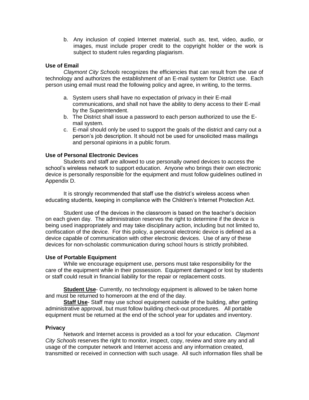b. Any inclusion of copied Internet material, such as, text, video, audio, or images, must include proper credit to the copyright holder or the work is subject to student rules regarding plagiarism.

#### **Use of Email**

*Claymont City Schools* recognizes the efficiencies that can result from the use of technology and authorizes the establishment of an E-mail system for District use. Each person using email must read the following policy and agree, in writing, to the terms.

- a. System users shall have no expectation of privacy in their E-mail communications, and shall not have the ability to deny access to their E-mail by the Superintendent.
- b. The District shall issue a password to each person authorized to use the Email system.
- c. E-mail should only be used to support the goals of the district and carry out a person's job description. It should not be used for unsolicited mass mailings and personal opinions in a public forum.

#### **Use of Personal Electronic Devices**

Students and staff are allowed to use personally owned devices to access the school's wireless network to support education. Anyone who brings their own electronic device is personally responsible for the equipment and must follow guidelines outlined in Appendix D.

It is strongly recommended that staff use the district's wireless access when educating students, keeping in compliance with the Children's Internet Protection Act.

Student use of the devices in the classroom is based on the teacher's decision on each given day. The administration reserves the right to determine if the device is being used inappropriately and may take disciplinary action, including but not limited to, confiscation of the device. For this policy, a personal electronic device is defined as a device capable of communication with other electronic devices. Use of any of these devices for non-scholastic communication during school hours is strictly prohibited.

#### **Use of Portable Equipment**

While we encourage equipment use, persons must take responsibility for the care of the equipment while in their possession. Equipment damaged or lost by students or staff could result in financial liability for the repair or replacement costs.

**Student Use**- Currently, no technology equipment is allowed to be taken home and must be returned to homeroom at the end of the day.

**Staff Use**- Staff may use school equipment outside of the building, after getting administrative approval, but must follow building check-out procedures. All portable equipment must be returned at the end of the school year for updates and inventory.

#### **Privacy**

Network and Internet access is provided as a tool for your education. *Claymont City Schools* reserves the right to monitor, inspect, copy, review and store any and all usage of the computer network and Internet access and any information created, transmitted or received in connection with such usage. All such information files shall be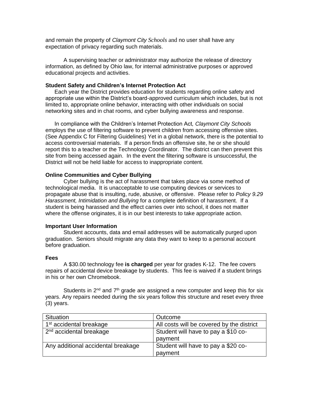and remain the property of *Claymont City Schools* and no user shall have any expectation of privacy regarding such materials.

A supervising teacher or administrator may authorize the release of directory information, as defined by Ohio law, for internal administrative purposes or approved educational projects and activities.

#### **Student Safety and Children's Internet Protection Act**

Each year the District provides education for students regarding online safety and appropriate use within the District's board-approved curriculum which includes, but is not limited to, appropriate online behavior, interacting with other individuals on social networking sites and in chat rooms, and cyber bullying awareness and response.

In compliance with the Children's Internet Protection Act*, Claymont City Schools* employs the use of filtering software to prevent children from accessing offensive sites. (See Appendix C for Filtering Guidelines) Yet in a global network, there is the potential to access controversial materials. If a person finds an offensive site, he or she should report this to a teacher or the Technology Coordinator. The district can then prevent this site from being accessed again. In the event the filtering software is unsuccessful, the District will not be held liable for access to inappropriate content.

#### **Online Communities and Cyber Bullying**

Cyber bullying is the act of harassment that takes place via some method of technological media. It is unacceptable to use computing devices or services to propagate abuse that is insulting, rude, abusive, or offensive. Please refer to *Policy 9.29 Harassment, Intimidation and Bullying* for a complete definition of harassment. If a student is being harassed and the effect carries over into school, it does not matter where the offense originates, it is in our best interests to take appropriate action.

#### **Important User Information**

Student accounts, data and email addresses will be automatically purged upon graduation. Seniors should migrate any data they want to keep to a personal account before graduation.

#### **Fees**

A \$30.00 technology fee **is charged** per year for grades K-12. The fee covers repairs of accidental device breakage by students. This fee is waived if a student brings in his or her own Chromebook.

Students in  $2^{nd}$  and  $7^{th}$  grade are assigned a new computer and keep this for six years. Any repairs needed during the six years follow this structure and reset every three (3) years.

| <b>Situation</b>                    | Outcome                                        |
|-------------------------------------|------------------------------------------------|
| 1 <sup>st</sup> accidental breakage | All costs will be covered by the district      |
| $2nd$ accidental breakage           | Student will have to pay a \$10 co-<br>payment |
| Any additional accidental breakage  | Student will have to pay a \$20 co-            |
|                                     | payment                                        |